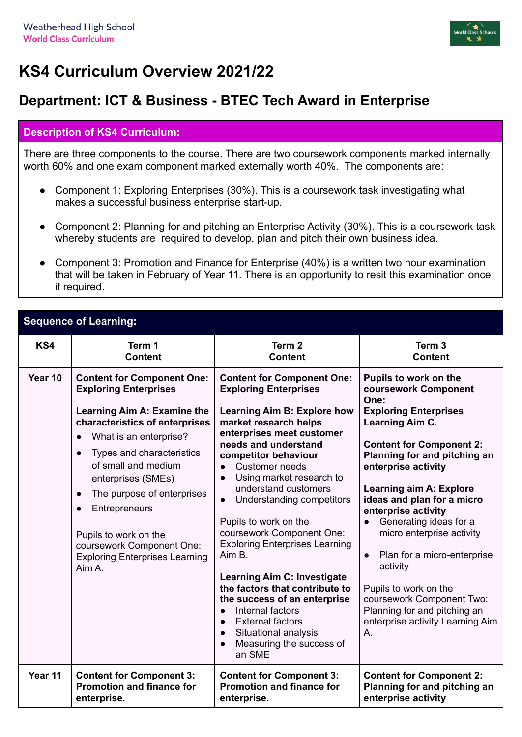

## **KS4 Curriculum Overview 2021/22**

## **Department: ICT & Business - BTEC Tech Award in Enterprise**

## **Description of KS4 Curriculum:**

There are three components to the course. There are two coursework components marked internally worth 60% and one exam component marked externally worth 40%. The components are:

- Component 1: Exploring Enterprises (30%). This is a coursework task investigating what makes a successful business enterprise start-up.
- Component 2: Planning for and pitching an Enterprise Activity (30%). This is a coursework task whereby students are required to develop, plan and pitch their own business idea.
- Component 3: Promotion and Finance for Enterprise (40%) is a written two hour examination that will be taken in February of Year 11. There is an opportunity to resit this examination once if required.

| <b>Sequence of Learning:</b> |                                                                                                                                                                                                                                                                                                                                                                                                                          |                                                                                                                                                                                                                                                                                                                                                                                                                                                                                                                                                                                                                                                                                       |                                                                                                                                                                                                                                                                                                                                                                                                                                                                                                                                          |  |
|------------------------------|--------------------------------------------------------------------------------------------------------------------------------------------------------------------------------------------------------------------------------------------------------------------------------------------------------------------------------------------------------------------------------------------------------------------------|---------------------------------------------------------------------------------------------------------------------------------------------------------------------------------------------------------------------------------------------------------------------------------------------------------------------------------------------------------------------------------------------------------------------------------------------------------------------------------------------------------------------------------------------------------------------------------------------------------------------------------------------------------------------------------------|------------------------------------------------------------------------------------------------------------------------------------------------------------------------------------------------------------------------------------------------------------------------------------------------------------------------------------------------------------------------------------------------------------------------------------------------------------------------------------------------------------------------------------------|--|
| KS4                          | Term 1                                                                                                                                                                                                                                                                                                                                                                                                                   | Term <sub>2</sub>                                                                                                                                                                                                                                                                                                                                                                                                                                                                                                                                                                                                                                                                     | Term <sub>3</sub>                                                                                                                                                                                                                                                                                                                                                                                                                                                                                                                        |  |
|                              | <b>Content</b>                                                                                                                                                                                                                                                                                                                                                                                                           | <b>Content</b>                                                                                                                                                                                                                                                                                                                                                                                                                                                                                                                                                                                                                                                                        | <b>Content</b>                                                                                                                                                                                                                                                                                                                                                                                                                                                                                                                           |  |
| Year 10                      | <b>Content for Component One:</b><br><b>Exploring Enterprises</b><br>Learning Aim A: Examine the<br>characteristics of enterprises<br>What is an enterprise?<br>$\bullet$<br>Types and characteristics<br>of small and medium<br>enterprises (SMEs)<br>The purpose of enterprises<br>$\bullet$<br>Entrepreneurs<br>Pupils to work on the<br>coursework Component One:<br><b>Exploring Enterprises Learning</b><br>Aim A. | <b>Content for Component One:</b><br><b>Exploring Enterprises</b><br>Learning Aim B: Explore how<br>market research helps<br>enterprises meet customer<br>needs and understand<br>competitor behaviour<br><b>Customer needs</b><br>Using market research to<br>$\bullet$<br>understand customers<br>Understanding competitors<br>$\bullet$<br>Pupils to work on the<br>coursework Component One:<br><b>Exploring Enterprises Learning</b><br>Aim B.<br><b>Learning Aim C: Investigate</b><br>the factors that contribute to<br>the success of an enterprise<br>Internal factors<br><b>External factors</b><br>Situational analysis<br>$\bullet$<br>Measuring the success of<br>an SME | Pupils to work on the<br>coursework Component<br>One:<br><b>Exploring Enterprises</b><br>Learning Aim C.<br><b>Content for Component 2:</b><br>Planning for and pitching an<br>enterprise activity<br><b>Learning aim A: Explore</b><br>ideas and plan for a micro<br>enterprise activity<br>Generating ideas for a<br>micro enterprise activity<br>Plan for a micro-enterprise<br>$\bullet$<br>activity<br>Pupils to work on the<br>coursework Component Two:<br>Planning for and pitching an<br>enterprise activity Learning Aim<br>Α. |  |
| Year 11                      | <b>Content for Component 3:</b>                                                                                                                                                                                                                                                                                                                                                                                          | <b>Content for Component 3:</b>                                                                                                                                                                                                                                                                                                                                                                                                                                                                                                                                                                                                                                                       | <b>Content for Component 2:</b>                                                                                                                                                                                                                                                                                                                                                                                                                                                                                                          |  |
|                              | <b>Promotion and finance for</b>                                                                                                                                                                                                                                                                                                                                                                                         | <b>Promotion and finance for</b>                                                                                                                                                                                                                                                                                                                                                                                                                                                                                                                                                                                                                                                      | Planning for and pitching an                                                                                                                                                                                                                                                                                                                                                                                                                                                                                                             |  |
|                              | enterprise.                                                                                                                                                                                                                                                                                                                                                                                                              | enterprise.                                                                                                                                                                                                                                                                                                                                                                                                                                                                                                                                                                                                                                                                           | enterprise activity                                                                                                                                                                                                                                                                                                                                                                                                                                                                                                                      |  |